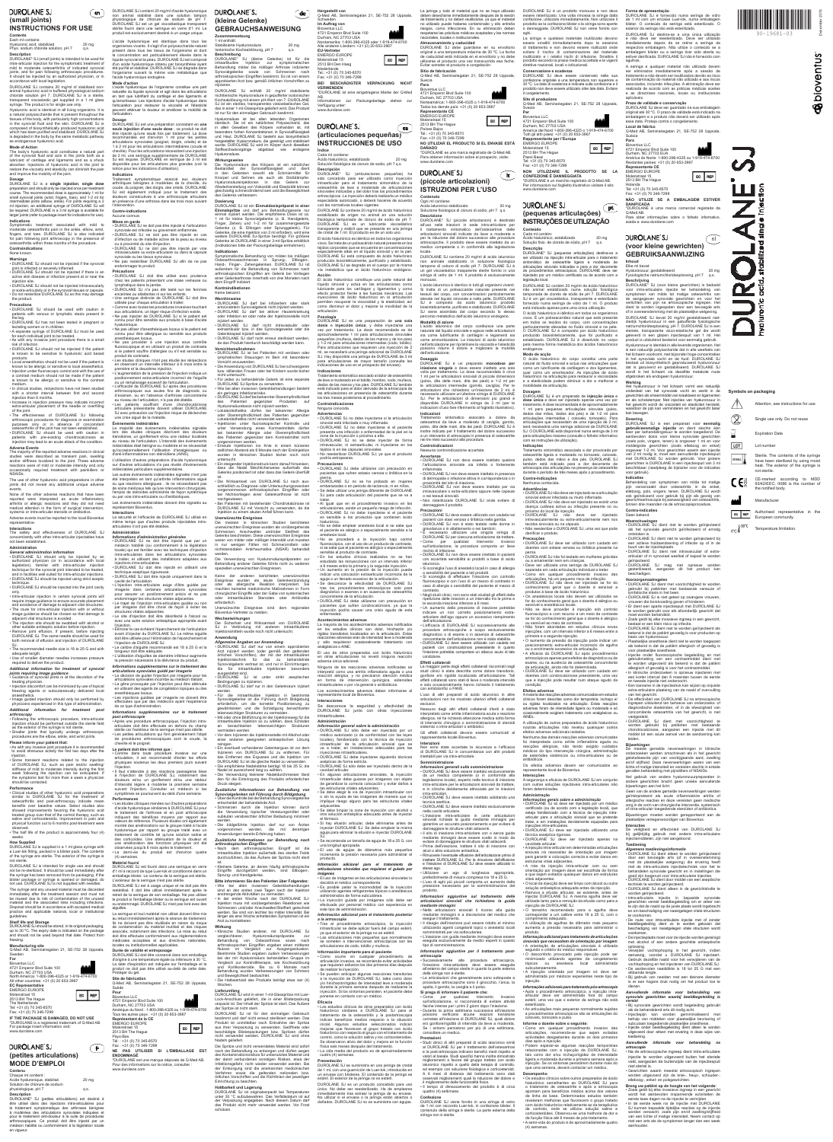December 2013

**Sulloventus** 

# Each ml contains:

# Hyaluronic acid, stabilized 20 mg Phys. sodium chloride solution, pH 7 q.s.

**Description** DUROLANE\* SJ (small joints) is intended to be used for intra-articular injection for the symptomatic treatment of mild to moderate osteoarthritis of indicated synovial joints, and for pain following arthroscopic procedures It should be injected by an authorized physician, or in accordance with local legislation.

tissues of the body, with particularly high concentrations in the synovial fluid and the skin. DUROLANE SJ is composed of biosynthetically produced hyaluronic acid which has been purified and stabilized. DUROLANE SJ is degraded in the body by the same metabolic pathway

# as endogenous hyaluronic acid.

Symptomatic treatment associated with mild to moderate osteoarthritis pain in the ankle, elbow, wrist. moderate osteoarthritis pain in the ankle, elbow, wrist, fingers, and toes. DUROLANE SJ is also indicated for pain following joint arthroscopy in the presence of osteoarthritis within three months of the procedure. **Contraindications**

• DUROLANE SJ should not be injected if the patient is known to be sensitive to hyaluronic acid based products.

of the joint. effectiveness of DUROLANE SJ following arthroscopic procedures for diagnosis or examination purposes only or in absence of concomitant eoarthritis of the joint has not been established.

# **Indications**

### None known.

injection site. • DUROLANE SJ should not be injected intravascularly or extra-articularly or in the synovial tissues or capsule. • Do not resterilize DUROLANE SJ as this may damage

### the product. **Precautions**

• DUROLANE SJ should be used with caution in patients with venous or lymphatic stasis present in

• The route for intra-articular injection with or without image guidance should be chosen so that damage to adiacent vital structures is avoided. • The injection site should be swabbed with alcohol or other suitable antisentic solution before injection

other suitable antiseptic solution before injection.<br>• Remove joint effusion, if present, before injecting<br>DUROLANE SJ. The same needle should be used for<br>both removal of effusion and injection of DUROLANE

the leg. • DUROLANE SJ has not been tested in pregnant or

lactating women or in children.<br>• A separate syringe of DUROLANE SJ must be used<br>for each individual joint to be treated.<br>• As with any invasive joint procedure there is a small<br>risk of infection.

products. • Local anaesthetics should not be used if the patient is known to be allergic or sensitive to local anaesthetics. • Local anaesthetics should not be used if the patient is<br>
• Injection under fluoroscopic control and with the use of a contrast medium should not be made if the patient is known to be allergic or sensitive to the contrast

### **Please inform your patient that:** • As with any invasive joint procedure it is recommended

to avoid strenuous activity the first two days after the injection.<br>• Some transient reactions related to the injection

medium. • In clinical studies, reinjections have not been studied with a shorter interval between first and second injection than 6 months.

• Increase in injection pressure may indicate incorrect extra-articular placement of the needle or overfilling

### DUROLANE SJ is supplied in a 1 ml glass syringe with a Luer-lok fitting, packed in a blister pack. The content of the syringe are sterile. The exterior of the syringe is not sterile.

• DUROLANE SJ should be used with caution in patients with pre-existing chondrocalcinosis as injection may lead to an acute attack of the condition. **Adverse Events** The majority of the reported adverse reactions in clinical

# studies were described as transient pain, swelling and/or stiffness localized to the joint. These adverse

reactions were of mild or moderate intensity and only occasionally required treatment with painkillers o NSAIDs. The use of other hyaluronic acid preparations in other

joints did not reveal any additional unique adverse events. None of the other adverse reactions that have been

reported were interpreted as acute inflammatory arthritis or allergic reactions and they did not need medical attention in the form of surgical intervention, systemic or intra-articular steroids or antibiotics. Adverse events must be reported to the local Bioventus

# **DUROLANE SJ (petites articulations)**

**Contenu** Chaque ml contient : Acide hyaluronique, stabilisé  $20 \text{ mg}$ Solution de chlorure de sodium physiologique, pH 7 q.s.

# representative.

# **Administration**

# **DUROLANE SJ (small joints)**

# **Contents INSTRUCTIONS FOR USE**

*General administration information* • DUROLANE SJ should only be injected by an authorized physician (or in accordance with local legislation), familiar with intra-articular injection chnique for the synovial joint intended to be treated and in facilities well suited for intra-articular injections. • DUROLANE SJ should be injected using strict aseptic

# SJ. • The recommended needle size is 18 to 25 G and with adequate length. • Use of smaller diameter needles increases pressure required to deliver the product.

*Additional information for treatment of synovial* 

# *joints requiring image guidance* • Guidance of synovial joints is at the discretion of the

treating physician. • Injection discomfort can be minimized by use of topical

reezing agents or subcutaneously delivered loca

## anaesthetics. • Image guided injection should only be performed by physicians experienced in this type of administration.

DUROLANE SJ contém 20 mg/ml de ácido hialurónico não animal estabilizado numa solução fisiológica tamponada de cloreto de sódio de pH 7. DUROLANE SJ é um gel viscoelástico, transparente e esterilizado fornecido numa seringa de vidro de 1 ml. O produto está indicado apenas para uma única utilização. O ácido hialurónico é idêntico em todos os organismos vivos. É um polissacarídeo natural que está presente em todos os tecidos do corpo, com concentrações particularmente elevadas no fluido sinovial e na pele. O DUROLANE SJ é composto por ácido hialurónico produzido biossinteticamente, que foi purificado e estabilizado. DUROLANE SJ é dissolvido no corpo pela mesma forma metabólica dos ácidos hialurónicos

*Additional information for treatment post arthroscopy*

O ácido hialurónico do corpo constitui uma parte natural do fluido sinovial e actua nas articulações quer como um lubrificante da cartilagem e dos ligamentos, quer como um amortecedor. As injecções de ácido hialurónico na articulação para restaurar a e a elasticidade podem diminuir a dor e melhorar a

# • Following the arthroscopic procedure, intra-articular

injection should be performed outside the sterile field as the exterior of the syringe is not sterile. • Smaller joints that typically undergo arthroscopic procedures are the elbow, ankle, and wrist joints.

Tratamento sintomático associado a dor provocada por osteoartrite ligeira a moderada no tornozelo, cotovelo, pulso, dedos das mãos e dos pés. DUROLANE SJ também está indicado para a dor decorrente de artroscopia das articulações na presença de osteoartrite durante o período de três meses após o procedime

• Some transient reactions related to the injection of DUROLANE SJ, such as pain and/or swelling/ stiffness of mild to moderate intensity during the first week following the injection can be anticipated. If the symptoms last for more than a week a physician should be contacted.

## **Performance**

• Deve ser utilizada uma seringa de DUROLANE SJ separada em cada articulação individual a tratar. • Como em qualquer procedimento invasivo das articulações, há um pequeno risco de infecção. • DUROLANE SJ não deve ser injectado se for do conhecimento geral que o doente é sensível a

• Clinical studies of other hyaluronic acid preparations similar to DUROLANE SJ for the treatment of osteoarthritis and post-arthroscopy indicate mean benefits over baseline values. Select studies also showed improvements favoring the hyaluronic acid treated group over that of the control therapy, such as saline and corticosteroids. Improvement in pain and saline and corticosteroids. Improvement in pain and physical function out to 6 months post-treatment were observed. • The half life of the product is approximately four (4) • Não se deve proceder à injecção sob controlo fluoroscópico e com recurso a um meio de contraste se for do conhecimento geral que o doente é alérgico

## weeks.

**How Supplied**

DUROLANE SJ is intended for single use and should not be re-sterilized. It should be used immediately after the syringe has been removed from its packaging. If the blister package or syringe is opened or damaged, do not use. DUROLANE SJ is not supplied with needles.

**Efeitos adversos**<br>A maioria das reacções adversas comunicadas em estudos<br>clínicos foram descritas como dor temporária, inchaço e/ ou rigidez localizados na articulação. Estas reacções rsas foram de intensidade ligeira ou moderada e só ocasionalmente exigiram tratamento com analgésicos ou

The syringe and any unused material must be discarded immediately after the treatment session and must not be reused due to risk of contamination of the unused material and the associated risks including infections. Disposal should be in accordance with accepted medical practice and applicable national, local or institutional guidelines.

oram determinadas. **Administração**

**Shelf life and Storage** DUROLANE SJ should be stored, in its original packaging, up to 30 ºC. The expiry date is indicated on the package and should not be used beyond that date. Protect from freezing.

## **Manufacturing site**

Q-Med AB, Seminariegatan 21, SE-752 28 Uppsala, Sweden



4721 Emperor Blvd Suite 100 Durham, NC 27703 USA North America: 1-800-396-4325 or 1-919-474-6700 All other countries: +31 (0) 20 653-3967

EC REP

**EC Representative** EMERGO EUROPE

Molenstraat 15 2513 BH The Hague

The Netherlands Tel: +31 (0) 70 345-8570 Fax: +31 (0) 70 346-7299

**IF THE PACKAGE IS DAMAGED, DO NOT USE** \*DUROLANE is a registered trademark of Q-Med AB. For package insert information visit: www.durolane.com

# **MODE D'EMPLOI**

**Description** DUROLANE\* SJ (petites articulations) est destiné à être utilisé dans des injections intra-articulaires pour le traitement symptomatique des arthroses bénignes à modérées des articulations synoviales indiquées et pour le traitement anti-douleur à la suite de procédures arthroscopiques. Ce produit doit être injecté par un médecin habilité ou conformément à la législation locale • Como em qualquer procedimento invasivo das articulações, recomenda-se que sejam evitadas actividades desgastantes durante os dois primeiros dias após a injecção. • Podem esperar-se algumas reacções temporárias relacionadas com a injecção de DUROLANE SJ, tais como dor e/ou inchaço/rigidez de intensidade ligeira a moderada durante a primeira semana após a .<br>injecção. Se os sintomas persistirem durante mais do<br>que uma semana, deverá contactar um médico. ana, deverá contactar um médico.

en vigueur.

**Symbols on packaging**

 $\bigotimes$ 

LOT

CE

EC REP

Ş

Attention, see instructions for use

Single use only. Do not reuse

Expiration Date Lot number

Sterile. The contents of the syringe have been sterilized by using moist heat. The exterior of the syringe is

not sterile.

 $\text{C}^{\circ} \text{C}$ <sup>30°C</sup> Temperature limitation

CE-marked according to MDD 93/42/EEC; 0086 is the number of

the notified body. Manufacturer

Authorised representative in the European community.

DUROLANE SJ destina-se a uma única utilização e não deve ser reesterilizado. Deve ser utilizado imediatamente depois de se retirar a seringa da respectiva embalagem. Não utilize o conteúdo se a embalagem blister ou a seringa tiver sido aberta ou estiver danificada. DUROLANE SJ não é forn

A seringa e qualquer material não utilizado devem ser eliminados imediatamente após a sessão de tratamento e não devem ser reutilizados devido ao risco de contaminação do material não utilizado e aos riscos associados, incluindo infecções. A eliminação deve ser realizada de acordo com as práticas médicas aceites as directrizes nacionais, locais ou institu

**Prazo de validade e conservação**<br>DUROLANE SJ deve ser guardado na sua embalagem<br>original até 30 °C. O prazo de validade está indicado na embalagem e o produto não deverá ser utilizado após essa data. Proteja contra o congelamento.

**NON UTILIZZARE IL PRODOTTO SE LA CONFEZIONE È DANNEGGIATA** \*DUROLANE è un marchio registrato di Q-Med AB. Per informazioni sul foglietto illustrativo visitare il sito:

www.durolane.com

DUROLANE SJ

**(pequenas articulações) INSTRUÇÕES DE UTILIZAÇÃO**

**Conteúdo** Cada ml contém:

> kan bew **Dosering**

Ácido hialurónico, estabilizado 20 mg Solução fisio. de cloreto de sódio, pH 7 q.s. **Descrição** DUROLANE\* SJ (pequenas articulações) destina-se a

ser utilizado na injecção intra-articular para o tratamento<br>sintomático de osteoartrite ligeira a moderada de<br>articulações sinoviais indicadas e para a dor decorrente<br>de procedimentos artroscópicos. DUROLANE deve ser<br>injec

legislação local.

moet worden behandeld. • Zoals geldt bij elke invasieve ingreep in een gewricht, bestaat er een klein risico op infectie. • DUROLANE SJ dient niet te worden geïnjecteerd als bekend is dat de patiënt gevoelig is voor producten op basis van hyaluronzuur. • Plaatselijke anesthesie dient niet te worden toegepast als bekend is dat de patiënt allergisch of gevoe voor plaatselijke anesthesie. • Injectie onder fluoroscopische begeleiding en met gebruikmaking van een contrastmiddel dient niet worden uitgevoerd als bekend is dat de patiënt

endógenos. **Modo de acção**

> ische onderzoeken is opnieuw injecteren met een korter interval dan 6 maanden tussen de eerste

mobilidade da articulação.

leider **Bijwerkingen**

**Dosagem** DUROLANE SJ é um preparado de **injecção única** e dose única e deve ser injectado apenas uma vez po tratamento. A dose recomendada é de aproximadar 1 ml para pequenas articulações sinoviais (pulso, dedos das mãos, dedos dos pés) e de 1-2 ml para articulações intermédias ( cotovelo, tornozelo). articulações que necessitam de uma injecção de 2 ml, será necessária uma seringa adicional de DUROLANE SJ. O DUROLANE está disponível numa seringa de 3 ml para articulações maiores (consulte o folheto informativo com as instruções de utilização).

> *Algemene toedieningsinformatie* • DUROLANE SJ dient alleen te worden geïnjecteerd door een bevoegde arts (of in overeenstemming met de plaatselijke wetgeving) die ervaring heeft met de intra-articulaire injectietechniek voor het te behandelen synoviale gewricht en in instellingen die goed zijn toegerust voor intra-articulaire injecties. • DUROLANE SJ dient door middel van een aseptische techniek te worden geïnjecteerd. • DUROLANE SJ dient alleen in de gewrichtsholte te worden geïnjecteerd. • Intra-articulaire injectie in bepaalde synoviale gewrichten vereist beeldbegeleiding om er zeker van te zijn dat de naald op de juiste plaats wordt ingebracht n om beschadiging van naastgelegen vitale structure te voorkomen. • De route voor intra-articulaire injectie met of zonder beeldbegeleiding dient zo te worden gekozen dat beschadiging van naastgelegen vitale structuren wordt voorkomen. • De injectieplaats moet voor de injectie worden gereinigd met alcohol of een andere geschikte antiseptische

**Indicações**

**Contra-indicações** Nenhuma conhecida. **Advertências**

• DUROLANE SJ não deve ser injectado se a articulação sinovial estiver infectada ou muito inflamada. • DUROLANE SJ não deve ser injectado se existir uma doença cutânea activa ou infecção presente no ou

> • Bij gebruik van naalden met een kleinere diameter s er een hogere druk nodig om het product toe te

próximo do local da injecção.

• DUROLANE SJ não deve ser injectado intravascularmente ou extra-articularmente nem nos tecidos sinoviais ou na cápsula. • Não reesterilize o DUROLANE SJ, uma vez que pode

danificar o produto. **Precauções**

• DUROLANE SJ deve ser utilizado com cuidado em doentes com estase venosa ou linfática presente na perna. • DUROLANE SJ não foi testado em mulheres grávidas

> • Gewrichten waarin meestal artroscopisch ingrepen worden uitgevoerd zijn de knie-, heup-, sch elleboog-, enkel- en polsgewrichten. **Breng uw patiënt op de hoogte van het volgende:** • Zoals geldt bij elke invasieve ingreep in een gewricht wordt het aanbevolen inspannende activiteiten de eerste twee dagen na de injectie te vermijden. • In de eerste week na de injectie met DUROLANE SJ kunnen bepaalde tijdelijke reacties op de injectie worden verwacht, zoals pijn en/of zwelling/stijfheid<br>van een lichte of matige intensiteit. Neem contact or

met een arts als de symptomen langer dan een w

ou a amamentar nem em crianças.

produtos à base de ácido hialurónico.

• Os anestésicos locais não devem ser utilizados se for do conhecimento geral que o doente é alérgico ou

sensível a anestésicos locais.

ou sensível ao meio de contraste.

peuvent atténuer la douleur et améliorer la mobilité de nichttierische Hyaluronsäure in gepufferter isotonischer Kochsalzlösung mit einem pH-Wert von 7. DUROLANE SJ ist ein steriles, transparentes viskoelastisches Gel, das in einer 1-ml-Glasspritze geliefert wird. Das Produkt ist nur für den einmaligen Gebrauch bestimmt. Hyaluronsäure ist bei allen lebenden Organisme

**nsetzung** 

• Não foram abordadas em estudos clínicos novas injecções, com um intervalo inferior a 6 meses entre a primeira e a segunda injecção. • O aumento da pressão da injecção pode indicar um posicionamento extra-articular incorrecto da agulha ou o enchimento excessivo da articulação. • A eficácia do DUROLANE SJ após procedimentos artroscópicos apenas para efeitos de diagnóstico ou de exame, ou na ausência de osteoartrite concomitante da articulação, ainda não foi determinada. • DUROLANE SJ deve ser utilizado com cuidado em doentes com condrocalcinose preexistente, uma vez que a injecção pode resultar num ataque agudo da

DUROLANE SJ contains 20 mg/ml of stabilized nonanimal hyaluronic acid in buffered physiological sodium chloride solution pH 7. DUROLANE SJ is a sterile, transparent viscoelastic gel supplied in a 1 ml glass **Mode d'action** en tant que lubrifiant du cartilage et des ligaments et

(man)

syringe. The product is for single use only. Hyaluronic acid is identical in all living organisms. It is a natural polysaccharide that is present throughout the qu'amortisseur. Les injections d'acide hyaluronique dans l'articulation pour restaurer la viscosité et l'élasticité l'articulation.

condição.

AINEs.

**Mode of Action** The body's hyaluronic acid constitutes a natural part of the synovial fluid and acts in the joints both as a lubricant of cartilage and ligaments and as a shock absorber. Injections of hyaluronic acid in the joint to restore the viscosity and elasticity can diminish the pain and improve the mobility of the joint. **Indications**

A utilização de outros preparados de ácido hialurónico noutras articulações não revelou quaisquer outros efeitos adversos adicionais isolados. Nenhuma das demais reacções adversas comunicadas foi interpretada como artrite inflamatória aguda ou reacções alérgicas, não tendo exigido cuidados médicos do tipo intervenção cirúrgica, administração de esteróides sistémicos ou intra-articulares ou de

antibióticos.

Os efeitos adversos devem ser comunicados ao

**Dosage** DUROLANE SJ is a **single injection**, **single dose**  preparation and should only be injected once per treatment course. The recommended dose is approximately 1 ml for small synovial joints (wrist, fingers, toes), and 1-2 ml for intermediate joints (elbow, ankle). For joints requiring a 2 ml injection, an additional syringe of DUROLANE SJ will be required. DUROLANE in a 3 ml syringe is available for larger joints (refer to package insert for indications for use). SJ est également indiqué pour le traitement des douleurs consécutives à une arthroscopie articulaire en présence d'une arthrose dans les trois mois suivant l'intervention. **Contre-indications** Aucune connue.

**Interacções**

A segurança e eficácia de DUROLANE SJ em conjunto com outras soluções injectáveis intra-articulares não

arthroscopiques aux seules fins de diagnostic ou d'examen, ou en l'absence d'arthrose concomitante au niveau de l'articulation, n'a pas été établie. • Les patients souffrant d'une chondrocalcinos

> *Informações gerais sobre a administração* • DUROLANE SJ só deve ser injectado por um médico certificado (ou de acordo com a legislação local), que esteja familiarizado com a técnica de injecção intraarticular para a articulação sinovial que se pretende tratar, e em instalações devidamente equipadas para

resentante local da Bioventus.

# **Evénements indésirables**<br>La majorité des événements indésirables signalés<br>lors des études cliniques décrivent des douleurs transitoires, un gonflement et/ou une raideur localisée au niveau de l'articulation. L'intensité des événements

injecções intra-articulares.

avidade articular.

• DUROLANE SJ deve ser injectado utilizando uma técnica asséptica rigorosa. • DUROLANE SJ deve ser injectado apenas na

**Warnings** • DUROLANE SJ should not be injected if the synovial joint is infected or severely inflamed. • DUROLANE SJ should not be injected if there is an active skin disease or infection present at or near • Ne pas restériliser DUROLANE SJ afin de ne pas endommager le produit. **Précautions** • DUROLANE SJ doit être utilisé avec prudence

### **Interactions** La sécurité et l'efficacité de DUROLANE SJ utilisé en

• A injecção intra-articular em determinadas articulações sinovais irá necessitar de orientação por imagem para garantir a colocação correcta e evitar danos em estruturas vitais adjacentes. • A rota da injecção intra-articular com ou sem orientação por imagem deve ser escolhida de forma a que sejam evitados quaisquer danos em estruturas vitais adjacentes. • O local da injecção deve ser limpo com álcool ou outra solução antisséptica adequada antes da injecção. • Remova a efusão articular, se existente, antes de injectar DUROLANE SJ. A mesma agulha deve ser utilizada tanto para a remoção da efusão como para a injecção de DUROLANE SJ. • O tamanho recomendado para a agulha deve corresponder a um calibre entre 18 a 25 G, com o<br>comprimento adequado comprimento adequado. • A utilização de agulhas de diâmetro mais pequeno aumenta a pressão necessária para administrar o produto. *Informação adicional para tratamento de articulações sinoviais que necessitem de orientação por imagem* • A orientação de articulações sinoviais é utilizada segundo o critério do médico responsável. • O desconforto provocado pela injecção pode ser minimizado utilizando agentes de congelamento tópicos ou anestesia local administrada

*Informations supplémentaires sur le traitement post arthroscopie*

subcutaneamente.

• A injecção orientada por imagem só deve ser administrada por médicos experientes neste tipo de

injecção.

*Informações adicionais para tratamento pós-artroscopia* • Após o procedimento artroscópico, a injecção intraarticular deve ser administrada fora do campo estéril, uma vez que o exterior da seringa não está estermadores.<br>As articulações mais pequenas normalmente suieitas • As articulações mais pequenas normalmente sujeitas a procedimentos artroscópicos são as articulações do cotovelo, tornozelo e pulso.

Le patient doit être informé que :<br>• Comme dans toute procédure invasive sur une<br>articulation, il est recommandé d'éviter les efforts<br>physiques soutenus les deux premiers jours suivant l'injection. • Il faut s'attendre à des réactions passagères liées à l'injection de DUROLANE SJ, notamment des douleurs et/ou un gonflement et/ou une raideur d'intensité légère à modérée la première semaine suivant l'injection. Consulter un médecin si les symptômes se poursuivent au-delà d'une semaine.

**Performances** • Les études cliniques menées sur d'autres prép

**Informe o doente sobre o seguinte:**

**Desempenho**

• Os estudos clínicos sobre outros preparados de ácido hialurónico semelhantes ao DUROLANE SJ para o tratamento de osteoartrite e após a artroscopia apontam para benefícios médios acima dos valores da linha de base. Determinados estudos também evelaram melhorias que favorecem o grupo tratado com ácido hialurónico relativamente ao da terapêutica de controlo, onde se utilizou solução salina e corticosteróides. Observou-se uma melhoria da dor e da função física até 6 meses de pós-tratamento. • A semi-vida do produto é de aproximadamente quatro

**Interactions** The safety and effectiveness of DUROLANE SJ concomitantly with other intra-articular injectables have not been established. **Administration**

(4) semanas.

**Forma de apresentação**

DUROLANE SJ é fornecido numa seringa de vidro de 1 ml com um encaixe Luer-lok, numa embalagem blister. O conteúdo da seringa está esterilizado. O exterior da seringa não está esterilizado.

technique. • DUROLANE SJ should be injected into the joint cavity only. • Intra-articular injection in certain synovial joints will require image guidance to ensure accurate placement and avoidance of damage to adjacent vital structures. imagerie dans certaines articulations synoviales pour assurer un positionnement précis et ne pas endommager les structures vitales adjacentes. • Le trajet de l'injection intra-articulaire guidée ou non par imagerie doit être choisi de façon à éviter les

agulhas.

aplicáveis.

**Local de fabrico**

Q-Med AB, Seminariegatan 21, SE-752 28 Uppsala,

Suécia **Para** Bioventus LLC

ECREP

(M)

4721 Emperor Blvd Suite 100 Durham, NC 27703 EUA

América do Norte: 1-800-396-4325 ou 1-919-474-6700 Restantes países: +31 (0) 20 653-3967

**Representante CE** EMERGO EUROPE Molenstraat 15 2513 BH The Hague Holanda Tel: +31 (0) 70 345-8570 Fax: +31 (0) 70 346-7299

**NÃO UTILIZE SE A EMBALAGEM ESTIVER DANIFICADA** \*DUROLANE é uma marca comercial registada da

EC REP

 $\bigcap_{i=1}^n A_i$ 

ш

a

Q-Med AB.

Para obter informações sobre o folheto informativo,

aceda a: www.durolane.com

DUROLANE SJ

des Patienten gegenüber Produkten auf Hyaluronsäurebasis nicht injiziert werden. • Lokalanästhetika dürfen bei bekannter Allergie oder Überempfindlichkeit des Patienten gegenübe

**(voor kleine gewrichten) GEBRUIKSAANWIJZING** 

**Inhoud** Elke ml bevat:

Hyaluronzuur, gestabiliseerd 20 mg Fysiologische natriumchlorideoplossing, pH 7 q.s.

**Beschrijving**<br>DUROLANE\* SJ (voor kleine gewrichten) is bedoeld<br>voor intra-articulaire injectie ter behandeling van<br>symptomen van milde tot matige osteoartritis van<br>de aangegeven synoviale gewrichten en voor het

verlichten van pijn na artroscopische ingrepen. Het dient te worden ingespoten door een bevoegde arts of in overeenstemming met de plaatselijke wetgeving.

DUROLANE SJ bevat 20 mg/ml gestabiliseerd niet-dierlijk hyaluronzuur in een gebufferde fysiologische natriumchlorideoplossing, pH 7. DUROLANE SJ is een steriele, transparante visco-elastische gel die wordt geleverd in een glazen injectiespuit van 1 ml. Het product is uitsluitend bestemd voor eenmalig gebruik. Hyaluronzuur is identiek in alle levende organismen. Het s een natuurlijk polvsacharide dat in alle weefsels var het lichaam voorkomt, met bijzonder hoge concentraties in het synoviale vocht en de huid. DUROLANE SJ bestaat uit biosynthetisch geproduceerd hyaluronzuur dat is gezuiverd en gestabiliseerd. DUROLANE SJ wordt in het lichaam via dezelfde metabole route

Keine der anderen berichteten unerwünschter<br>Ereignisse wurden als akute Gelenkentzündung Ereignisse wurden als akute Gelenkentzündung oder als allergische Reaktion interpretiert. Sie machten keinerlei medizinische Maßnahmen in Form chirurgischer Eingriffe oder der Gabe von systemische oder intraartikulären Steroiden oder Antibiotika erforderlich. Unerwünschte Ereignisse sind dem regionalen

ures vitales adjacentes • Le site d'injection doit être désinfecté à l'alcool ou avec une autre solution antiseptique appropriée avant l'injection. • Éliminer le cas échéant l'épanchement de l'articulation Bioventus-Vertreter zu melden. **Wechselwirkungen**

*Allgemeine Angaben zur Anwendung* • DUROLANE SJ darf nur von einem approbierten Arzt injiziert werden (oder gemäß den geltenden örtlichen Vorschriften), der mit der intraartikulären Injektionstechnik für das zu behandelnde en los estudios clínicos son dolor, hinchazón y/o rigidez transitorios localizados en la articulación. Estas reacciones adversas eran de intensidad leve a moderada y sólo requirieron ocasionalmente tratamiento con analgésicos o AINE. El uso de otros preparados con ácido hialu

afgebroken als endogeen hyaluronzuur.

**Werking** Het hyaluronzuur in het lichaam vormt een natuurlijk onderdeel van het synoviale vocht en werkt in de gewrichten als smeermiddel van kraakbeen en ligamenten en als schokdemper. Met injecties van hyaluronzuur in het gewricht wordt de viscositeit en elasticiteit hersteld, waardoor de pijn kan verminderen en het gewricht beter

DUROLANE SJ is een preparaat voor **eenmalig gebruik**/**eenmalige injectie** en dient slechts één keer per behandelingskuur te worden toegediend. De aanbevolen dosis voor kleine synoviale gewrichten

(zoals pols, vingers, tenen) is ongeveer 1 ml en voor<br>middelgrote gewrichten (zoals elleboog en enkel)<br>ongeveer 1-2 ml. Voor gewrichten waarin een injectie<br>van 2 ml nodig is, moet een aanvullende injectiespuit<br>met DUROLANE

gewrichten is DUROLANE in een injectiespuit van 3 ml beschikbaar (raadpleeg de bijsluiter voor de indicaties

voor gebruik). **Indicaties**

Injektion muss mit vorübergehenden Reaktionen wie Schmerzen und/oder Anschwellen/Steifheit gerechnet werden. Sie sind von leichter bis milder Intensität. Be

Behandeling van symptomen van milde tot matige pijn veroorzaakt door osteoartritis in de enkel, elleboog, pols, vingers, tenen. DUROLANE SJ wordt ook geïndiceerd voor gebruik bij pijn als gevolg van gewrichtsartroscopie bij aanwezigheid van osteoartritis, binnen drie maanden na de artroscopieprocedure.

**Contra-indicaties** Geen bekend. **Waarschuwingen**

• DUROLANE SJ dient niet te worden geïnjecteerd als het synoviale gewricht geïnfecteerd ontstoken is. • DUROLANE SJ dient niet te worden geïnjecteerd bij een actieve huidaandoening of infectie op of in de

chen Eingriffen ergaben einen mittleren Nutzen im Vergleich zur Ausgangssituation. Bestimmte Studien ergaben zudem Verbesserungen bei der mit Hyaluronsäure behandelten Gruppe im Vergleich zur Kontrolltherapie, wie Kochsalzlösung und Kortikosteroide. Bis zu 6 Monate nach Behandlung wurden Verbesserungen von Schmerz buurt van de injectieplaats.

• DUROLANE SJ dient niet intravasculair of extraarticulair of in synoviaal weefsel of kapsel te geïnjecteerd. • DUROLANE SJ mag niet opnieuw worden gesteriliseerd, aangezien dit het product kan

beschadigen. **Voorzorgsmaatregelen**

• DUROLANE SJ dient met voorzichtigheid te worden gebruikt bij patiënten met bestaande veneuze of lymfatische stasis in het been. • DUROLANE SJ is niet getest op zwangere vrouwen,

des Kontaminationsrisikos für unbenutztes Material und<br>der damit verbundenen sonstigen Risiken, etwa der<br>Infektionsgefahr, nicht wieder verwendet werden. Bei<br>der Entsorgung sind die anerkannten medizinischen Verfahren sowie die geltenden nationalen bzw. örtlichen Vorschriften und die Richtlinien der jeweiligen • Er dient een aparte injectiespuit met DUROLANE SJ

DUROLANE SJ **(articulaciones pequeñas) INSTRUCCIONES DE USO** 

DUROLANE SJ contiene 20 mg/ml de ácido hialurónico estabilizado de origen no animal en una solución fisiológica tamponada de cloruro de sodio de pH 7. DUROLANE SJ es un lubricante viscoelástico transparente y estéril que se presenta en una jeringa

> • Een toename in de injectiedruk kan wijzen op onjuiste extra-articulaire plaatsing van de naald of overvulling<br>van het gewricht. van het gewricht. • De effectiviteit van DUROLANE SJ na artroscopische ingrepen uitsluitend ten behoeve van onderzoeks- of diagnostische doeleinden, of in de afwezigheid van concomitante osteoartritis van het gewricht, is niet vastgesteld. • DUROLANE SJ dient met voorzichtigheid te worden gebruikt bij patiënten met bestaande chondrocalcinose, aangezien een injectie met dit middel tot een acute aanval van de aandoening kan

De meeste gemelde nevenwerkingen in klinische onderzoeken werden omschreven als in het gewricht gelokaliseerde pijn van voorbijgaande aard, zwelling en/of stijfheid. Deze nevenwerkingen waren van een lichte of matige intensiteit en vereisten slechts in enkele gevallen behandeling met pijnstillers of NSAIDs. Het gebruik van andere hyaluronzuurpreparaten in andere gewrichten bracht geen unieke aanvullende

bijwerkingen aan het licht.

tejidos ni en las cápsulas sinoviales. • No reesterilizar DUROLANE SJ; ya que el producto podría estropea

Geen van de andere gemelde nevenwerkingen werden geïnterpreteerd als acute inflammatoire artritis of allergische reacties en deze vereisten geen medische zorg in de vorm van chirurgische interventie, systemisch of intra-articulair toegediende steroïden of antibiotica. Bijwerkingen moeten worden gerapporteerd aan de plaatselijke vertegenwoordiger van Bioventus.

**Interacties**

De veiligheid en effectiviteit van DUROLANE SJ bij gelijktijdig gebruik met andere intra-articulaire

injectiemiddelen, zijn niet aangetoond.

vrouwen die borstvoeding geven of k

te worden gebruikt voor elk afzonderlijk geword is dat gewonderlijk gewonder.

allergisch of gevoelig is voor het contra

n tweede injectie niet onderzocht.

**Toediening**

Bicherheit und Wirksamkeit von DUROLANE<br>in Verbindung mit anderen intraartikulären Sien in die verbindung mit anderen Injektionsmitteln wurde noch nicht untersucht. enfermedad. **Acontecimientos adversos** La mayoría de los acontecimientos adversos notificados

> representante la presenta<br>tonto local do Biov **Interacciones**

> desconoce la seguridad y efectividad de DUROLANE SJ junto con otras inyecciones

> • DUROLANE SJ sólo debe ser inyectado por un médico autorizado (o de conformidad con las leyes<br>locales), familiarizado con la técnica de invecció locales), familiarizado con la técnica de inyección<br>intraarticular de la articulación sinovial que se<br>va a tratar, en instalaciones adecuadas para las<br>inyecciones intraarticulares.<br>• DUROLANE SJ debe inyectarse siguiendo t

> > oplossing.

• Verwijder vochtophoping in het gewricht, indien aanwezig, voordat u DUROLANE SJ injecteert. Gebruik dezelfde naald voor het verwijderen van de vochtophoping en het injecteren van DUROLANE SJ. • De aanbevolen naalddikte is 18 tot 25 G met een

afdoende lengte.

dienen.

*Aanvullende informatie voor behandeling van*  synoviale gewrichten waarbij beeldbeg *vereist* • Bij synoviale gewrichten wordt begeleiding gebruikt

als de behandelend arts dit nodig acht.

länger als eine Woche anhaltenden Symptomen ist ein *Información adicional para el tratamiento posterio a la artroscopia* • Tras el procedimiento artroscópico, la inyección

> • Injectiepijn kan worden geminimaliseerd met behulp van middelen voor plaatselijke bevriezing of subcutaan toegediende plaatselijke anesthesie. • Injectie onder beeldbegeleiding dient alleen te worden uitgevoerd door artsen met ervaring in deze wijze van

toediening.

*Aanvullende informatie voor behandeling na* 

*artroscopie*

• Na de artroscopische ingreep dient intra-articulaire injectie te worden uitgevoerd buiten het steriele veld, aangezien de buitenzijde van de injectiespuit

niet steriel is.

física seis meses después del tratamiento. • La vida media del producto es de aproximadamente cuatro (4) semanas

aanhouden.

van een lichte of matige inte

DUROLANE SJ contient 20 mg/ml d'acide hyaluronique **DUROLANE SJ** non animal stabilisé dans une solution tampon physiologique de chlorure de sodium de pH 7. DUROLANE SJ est un gel viscoélastique transparent stérile fourni dans une seringue en verre d'1 ml. Le **(kleine Gelenke) GEBRAUCHSANWEISUNG**  produit est exclusivement destiné à un usage unique.

> DUROLANE SJ contiene 20 mg/ml di acido ialuronico non animale stabilizzato in soluzione tampone di colruro di sodio pH 7. DUROLANE SJ è un gel viscoelastico trasparente sterile fornito in una siringa di vetro da 1 ml. Il prodotto è esclusivamente

iniezione singola e deve essere inietitato una sola<br>1 ml per trattamento. La dose raccomandata è circa<br>1 ml per le articolazioni sinoviali di piccole dimensioni<br>(polso, dita delle mani, dita dei piedi) e 1–2 ml per<br>le arti articolazioni che richiedono un'iniezione da 2 ml, è necessario utilizzare un'ulteriore siringa di DUROLANE SJ. Per le articolazioni di dimensioni più grandi è disponibile DUROLANE in siringa da 3 ml (per le indicazioni d'uso fare riferimento al foglietto illustrativo).

Trattamento sintomatico associato a dolore da osteoartrosi da lieve a moderato di caviglia, gomito, polso, dita delle mani, dita dei piedi. DUROLANE SJ è noltre indicato per il trattamento del dolore successi a un intervento di artroscopia in presenza di osteoartrite

...<br>dicazione accertata

### de 2 ml, une seringue supplémentaire de DUROLANE SJ est requise. DUROLANE en seringue de 3 ml est disponible pour les articulations plus grandes (voir la notice pour les indications d'utilisation).

<sub>cencenc</sub>e<br>Traitement symptomatique associé aux douleur arthritiques bénignes à modérées de la cheville, du coude, du poignet, des doigts, des orteils. DUROLANE Die Hyaluronsäure des Körpers ist ein natürlicher<br>Bestandteil der Synovialflüssigkeit und dient<br>in den Gelenken sowohl als Schmiermittel für Knorpel und Sehnen als auch als Stoßdämpfer. Hyaluronsäureinjektionen in das Gelenk zur Wiederherstellung von Viskosität und Elastizität können gleichzeitig schmerzlindernd sein und die Beweglichkei rein seine sein und die Beweglichkeit en Gelenken<br>verbessern

ou à proximité du site d'injection.

necessario utilizzare una singola siringa di DUROLANE SJ per ciascuna articolazione da trattare.<br>• Come per qualsiasi intervento inva • Come per qualsiasi intervento invasivo sull'articolazione, la procedura comporta un lieve rischio di infezione. • DUROLANE SJ non deve essere iniettato in pazienti con accertata sensibilità ai prodotti a base di acido ialuronico.<br>• Si sconsiglia l'uso di anestetici locali in caso di allergia • Si sconsiglia l'uso di anestetici locali in caso di allergia o sensibilità del paziente a tali prodotti. • Si sconsiglia di effettuare l'iniezione con controllo fluoroscopico e con l'uso di un mezzo di contrasto in caso di allergia o sensibilità del paziente al mezzo di

### **Effetti collaterali** La maggior parte degli effetti collaterali riscontrati negl

solo occasionalmente lon antidolorifici o FANS.

Nessuno degli altri effetti collaterali riferiti è stato interpretato come artrite infiammatoria acuta o reazione allergica, né ha richiesto attenzione medica sotto forma di intervento chirurgico o somministrazione di steroidi

anesthésiques locaux. • Ne pas procéder à une injection sous contrôle fluoroscopique et en utilisant un produit de contraste

positionnement extra-articulaire incorrect de l'aiguille ou un remplissage excessif de l'articulation. • L'efficacité de DUROLANE SJ après des procédures

# articulaire préexistante doivent utiliser DUROLANE SJ avec précaution car l'injection risque de déclencher une crise aiguë de la maladie.

• Il disagio dell'iniezione può essere ridotto al minimo utilizzando agenti congelanti topici o anestetici locali somministrati per via sottocutanea. • L'iniezione con guida mediante immagini deve essere eseguita esclusivamente da medici esperti in questo

fisiche intense per i primi 2 giorni dopo l'iniezione. • Durante la prima settimana successiva all'iniezione possono verificarsi alcune reazioni transitorie correlate all'iniezione di DUROLANE SJ, quali dolore e/o gonfiore/rigidità di intensità da lieve a moderata. Se i sintomi persistono per più di una settimana

indésirables était bénigne ou modérée et ne nécessitait qu'occasionnellement l'utilisation d'analgésiques ou d'anti-inflammatoires non stéroïdiens (AINS). L'utilisation d'autres préparations d'acide hyaluronique sur d'autres articulations n'a pas révélé d'événements

DUROLANE SJ è un prodotto monouso e non deve essere risterilizzato. Una volta rimossa la siringa dalla confezione, utilizzare immediatamente. Non utilizzare il prodotto se la confezione blister o la siringa sono aperte o danneggiate. DUROLANE SJ non viene fornito con aghi. La siringa e qualsiasi materiale inutilizzato La jeringa y todo el material que no se haya utilizado deben desecharse inmediatamente después de la sesión deben desecharse inmediatamente después de la sesión de tratamiento y no deben reutilizarse, ya que el material no utilizado puede haberse contaminado y ello entraña riesgos, como infecciones. En su eliminación deben respetarse las prácticas médicas aceptadas y las normas nacionales, locales o institucionales.

• DUROLANE SJ ne doit être injecté que par un médecin habilité (ou conformément à la législation locale) qui est familier avec les techniques d'injection intra-articulaires dans les articulations synoviales à traiter, et utilisant des installations adaptées aux injections intra-articulaires.

L'acide hyaluronique est identique dans tous les organismes vivants. Il s'agit d'un polysaccharide naturel présent dans tous les tissus de l'organisme et dont la concentration est particulièrement élevée dans le liquide synovial et la peau. DUROLANE SJ est composé d'un acide hyaluronique obtenu par biosynthèse ayant été purifié et stabilisé. DUROLANE SJ se dégrade dans l'organisme suivant la même voie métabolique que l'acide hyaluronique endogène. 1 ml enthäl Stabilisierte Hyaluronsäure 20 mg sotonische Kochsalzlösung, pH 7 q.s. **Beschreib** DUROLANE\* SJ (kleine Gelenke) ist für die intraartikuläre Injektion zur symptomatischen Behandlung milder bis mäßiger Arthrose indizierter Synovialgelenke sowie von Schmerzen nach

essere smaltiti immediatamente dopo la sessione di trattamento e non devono essere riutilizzati onde evitare il rischio di contaminazione del materiale inutilizzato e i relativi rischi di infezione. Smaltire il prodotto secondo la prassi medica accettata e le vigenti direttive nazionali, locali o istituzionali. **Almacenamiento y caducidad** DUROLANE SJ debe guardarse en su envoltorio original a una temperatura máxima de 30 °C. La fecha original a una temperatura máxima de 30 ºC. La fecha de caducidad está indicada en el envoltorio y no debe utilizarse el producto una vez transcurrida esa fecha. Evitar someter el producto a congelación. **Sitio de fabricación**

• DUROLANE SJ doit être injecté en utilisant une technique aseptique rigoureuse. • DUROLANE SJ doit être injecté uniquement dans la cavité de l'articulation. • L'injection intra-articulaire exige d'être guidée par

### L'acide hyaluronique de l'organisme constitue une part naturelle du liquide synovial et agit dans les articulations arthroskopischen Eingriffen bestimmt. Es ist von einem approbierten Arzt bzw. gemäß örtlichen Vorschriften zu injizieren. DUROLANE SJ enthält 20 mg/ml stabilisierte

**Conservazione e scadenza** DUROLANE SJ deve essere conservato nella sua confezione originale a una temperatura non superiore a 30 ºC. La data di scadenza è indicata sulla confezione e il non deve essere utilizzato oltre tale data. Evita il congelamento. **Sito di produzione** Q-Med AB, Seminariegatan 21, SE-752 28 Uppsala, Svezia Q-Med AB, Seminariegatan 21, SE-752 28 Uppsala, 4721 Emperor Blvd Suite 100 Durham, NC 27703 USA Norteamérica: 1-800-396-4325 o 1-919-474-6700 Todos los demás país: +31 (0) 20 653-3967

 $(E_{\mathbf{x}})$ 



Molenstraat 15 2513 BH The Hague 'aesi Bassi Tel: +31 (0) 70 345-8570 Fax: +31 (0) 70 346-7299 \*DUROLANE es una marca registrada de Q-Med AB. Para obtener información sobre el prospecto, visite www.durolane.com

**Dosage** DUROLANE SJ est une préparation consistant en **une seule injection d'une seule dose** ; ce produit ne doit être injecté qu'une seule fois par traitement. La dose nandée est d'environ 1 ml pour les petites articulations synoviales (poignet, doigts, orteils) et de 1 à 2 ml pour les articulations intermédiaires (coude et cheville). Pour les articulations nécessitant une injection identisch. Sie ist ein natürliches Polysaccharid, das in allen Geweben des Körpers vorhanden ist, mit besonders hohen Konzentrationen in Synovialflüssigkeit und Haut. DUROLANE SJ besteht aus biosynthetisch hergestellter Hyaluronsäure, die gereinigt und stabilisiert wurde. DUROLANE SJ wird im Körper durch dieselben Stoffwechselvorgänge abgebaut wie endogene Hyaluronsäure.

# avant d'injecter du DUROLANE SJ. La même aiguille doit être utilisée pour l'élimination de l'épanchement et l'injection de DUROLANE SJ. • Le calibre d'aiguille recommandé est 18 à 25 G et la longueur doit être adéquate.

*articulations synoviales guidé par imagerie*

effectuées que par des médecins ayant l'expérience de ce type d'administration.

# • Après une procédure arthroscopique, l'injection intraarticulaire doit être effectuée en dehors du champ stérile car l'extérieur de la seringue n'est pas stérile.

**Mises en garde** • DUROLANE SJ ne doit pas être injecté si l'articulation viale est infectée ou gravement enflammée. • DUROLANE SJ ne doit pas être injecté en cas d'infection ou de maladie active de la peau au niveau • DUROLANE SJ ne doit pas être injecté par voie intravasculaire ou extra-articulaire ou dans la capsule synoviale ou les tissus synoviaux. **Dosierung**<br>DUROLANE SJ ist ein **Einmaldosispräparat in einer**<br>**Einmalspritze** und darf pro Behandlungsserie nur<br>einmal injiziert werden. Die empfohlene Dosis ist ca. 1 ml für kleine Synovialgelenke (z. B. Handgelenk, Finger, Zehen) und 1–2 ml für zusammengesetzte Gelenke (z. B. Ellbogen oder Sprunggelenk). Für Gelenke, die eine Injektion von 2 ml erfordern, wird eine weitere DUROLANE SJ-Spritze benötigt. Für größere Gelenke ist DUROLANE in einer 3-ml-Spritze erhältlich (Indikationen bitte der Packungsbeilage entnehmen). **Indikationen**

• Les petites articulations qui font généralement l'objet de procédures arthroscopiques sont le coude, la cheville et le poignet.

chez les patients présentant une stase veineuse ou lymphatique dans la jambe. • DUROLANE SJ n'a pas été testé sur les femmes enceintes ou allaitantes ni sur les enfants. • Une seringue distincte de DUROLANE SJ doit être utilisée pour chaque articulation à traiter.<br>• Comme avec toutes les procédures invasives touchant Keine bekannt. **Warnhinweise** • DUROLANE SJ darf bei infiziertem oder stark entzündetem Synovialgelenk nicht injiziert werden. • DUROLANE SJ darf bei aktiver Hauterkrankung

• Comme avec toutes les procédures invasives touchant aux articulations, un léger risque d'infection existe. • Ne pas injecter de DUROLANE SJ si le patient est connu pour être sensible aux produits à base d'acide hyaluronique. • Ne pas utiliser d'anesthésiques locaux si le patient est connu pour être allergique ou sensible aux produits oder Infektion an oder nahe der Injektionsstelle nicht injiziert werden. • DUROLANE SJ darf nicht intravaskulär oder extraartikulär bzw. in das Synovialgewebe oder die Gelenkkapsel injiziert werden. • DUROLANE SJ darf nicht erneut sterilisiert werden,

# d'acide hyaluronique similaires à DUROLANE SJ pour le traitement de l'arthrose et en post arthroscop indiquent des bénéfices moyens par rapport aux valeurs de référence. Plusieurs études ont également montré des améliorations sur le groupe traité à l'acide

si le patient souffre d'allergies ou s'il est sensible au produit de contraste.<br>• Les études cliniques n'ont pas étudié les réiniections • Les études cliniques n'ont pas étudié les réinjections<br>en observant un intervalle inférieur à 6 mois entre la<br>première et la deuxième injection.<br>• L'augmentation de la pression de l'injection indique un **Vorsichtsmaßnahmen** • DUROLANE SJ ist bei Patienten mit venösen oder lymphatischen Stauungen im Bein mit besondere Vorsicht anzuwenden. • Die Anwendung von DUROLANE SJ bei schwangeren bzw. stillenden Frauen oder bei Kindern wurde bisher

hyaluronique par rapport au groupe traité avec un traitement de contrôle tel qu'une solution saline et des corticoïdes. Une atténuation de la douleur et une amélioration des fonctions physiques ont été observées jusqu'à 6 mois après le traitement. • La demi-vie du produit est d'environ quatre (4) semaines. **Matériel fourni**

DUROLANE SJ est à usage unique et ne doit pas être restérilisé. Il doit être utilisé immédiatement après le<br>retrait de la seringue de son emballage. Ne pas utiliser<br>le produit si l'emballage blister ou la seringue est ouvert<br>ou endommagé. DUROLANE SJ n'est pas livré avec d aiguilles.

# La seringue et tout matériel non utilisé doivent être mis au rebut immédiatement après la séance de traitement. Ils ne doivent pas être réutilisés en raison du risque

de contamination du matériel inutilisé et des risques associés, notamment des infections. La mise au rebut doit être effectuée conformément aux réglementations médicales acceptées et aux directives nationales, locales ou institutionnelles applicables.

**Durée de validité et entreposage** DUROLANE SJ doit être conservé dans son emballage

indésirables particuliers supplémentaires. Les autres événements indésirables signalés n'ont pa été interprétés en tant qu'arthrite inflammatoire aiguë ou que réactions allergiques ; ils ne nécessitaient pas de soins médicaux tels qu'une intervention chirurgicale, dass die Nadel fälschlicherweise außerhalb des Gelenks positioniert ist oder dass das Gelenk überfüllt ist. • Die Wirksamkeit von DUROLANE SJ nach aus-

d'origine à une température égale ou inférieure à 30 °C. La date d'expiration est indiquée sur l'emballage et le produit ne doit pas être utilisé au-delà de cette date. rotéger du gel. **Site de fabrication**

### Q-Med AB, Seminariegatan 21, SE-752 28 Uppsala, Suède **Pour**

..<br>rentus LLC 4721 Emperor Blvd Suite 100 Durham, NC 27703 USA Amérique du Nord : 1-800-396-4325 ou 1-919-474-6700 Tous les autres pays : +31 (0) 20 653-3967 **Représentant de la CE** EMERGO EUROPE EC REP

l'emploi de stéroïdes administrés de façon systémique u par voie intra-articulaire ou d'antibio Les événements indésirables doivent être signalés au représentant Bioventus schließlich zu Diagnose- oder Untersuchungszwecken vorgenommenen arthroskopischen Eingriffen oder bei Nichtvorliegen einer Gelenkarthrose ist nicht nachgewiesen. • Bei Patienten mit bestehender Chondrokalzinose ist DUROLANE SJ mit Vorsicht zu verwenden, da die

Molenstraat 15 2513 BH The Hague Pays-Bas Tél. : +31 (0) 70 345-8570

Fax : +31 (0) 70 346-7299 (作) **NE PAS UTILISER SI L'EMBALLAGE EST** 

même temps que d'autres produits injectables intra-articulaires n'ont pas été établies. *Informations d'administration générales* **Unerwünschte Ereignisse**<br>Die meisten in klinischen Studien berichteten unerwünschten Ereignisse wurden als vorübergehende Schmerzen, Anschwellen und/oder Steifheit des Gelenks beschrieben. Diese unerwünschten Ereignisse waren von milder oder mäßiger Intensität und mussten in nur wenigen Fällen mit Schmerzmitteln oder

**ENDOMMAGÉ** \*DUROLANE est une marque déposée de Q-Med AB. Pour des informations sur la notice, consulter www.durolane.com

• L'utilisation d'aiguilles de diamètre inférieur augmente la pression nécessaire à la délivrance du produit. *Informations supplémentaires sur le traitement des*  Synovialgelenk vertraut ist, und nur in Einrichtungen, die für intraartikuläre Injektionen besonders

**Wirkungsweise**

• La décision de guider l'injection par imagerie pour les articulations synoviales incombe au médecin traitant. • La gêne provoquée par l'injection peut être atténuée en utilisant des agents de congélation topiques ou des anesthésiques locaux. • Les injections guidées par imagerie ne doivent être ausgestattet sind. • DUROLANE SJ ist unter strikt aseptischen Bedingungen zu injizieren. • DUROLANE SJ darf nur in den Gelenkraum injiziert werden. • Für die intraartikuläre Injektion in bestimmte Synovialgelenke ist die Führung durch Bildgebung

Symptomatische Behandlung von milden bis mäßigen Osteoarthroseschmerzen in Sprung-, Ellbogen-, Hand-, Finger-, Zehengelenken. DUROLANE SJ ist außerdem für die Behandlung von Schmerzen nach arthroskopischen Eingriffen am Gelenk bei Vorliegen einer Gelenkarthrose innerhalb von drei Monaten nach dem Eingriff indiziert.

**Kontraindikationen**

da das Produkt hierdurch beschädigt werden kann.

DUROLANE SJ est fourni dans une seringue en verre d'1 ml à raccord de type Luer-lok et conditionné dans un emballage blister. Le contenu de la seringue est stérile L'extérieur de la seringue n'est pas stérile ist. • Kleinere Gelenke, an denen häufig arthroskopische Eingriffe durchgeführt werden, sind Ellbogen-, Sprung- und Handgelenke. **Bitte informieren Sie den Patienten über Folgendes:**

nicht untersucht.

• Für jedes zu behandelnde Gelenk ist eine separate DUROLANE SJ-Spritze zu verwenden. • Wie bei allen invasiven Gelenkbehandlungen besteht ein geringes Infektionsrisiko. • DUROLANE SJ darf bei bekannter Überempfindlichkeit

vorgenommen werden.

• Erneute Injektionen ins Knie in einem kürzeren zeitlichen Abstand als 6 Monate nach der Erstinjektion wurden in klinischen Studien bisher noch nicht

untersucht.

• Ein steigender Injektionsdruck kann darauf hinweisen,

Injektion zu einem akuten Anfall führen kann.

nichtsteroidalen Antirheumatika (NSAR) behandelt

werden.

Die Verwendung von Hyaluronsäurepräparaten zur

**Anwendung**

erforderlich, um die korrekte Positionierung zu

vermieden werden.

• Vor dem Injizieren die Injektionsstelle mit Alkohol oder einer anderen geeigneten antiseptischen Lösung reinigen. • Ein eventuell vorhandener Gelenkerguss ist vor dem Injizieren von DUROLANE SJ zu entfernen. Für das Entfernen des Ergusses und die Injektion von DUROLANE SJ ist die gleiche Nadel zu verwenden. • Die empfohlene Nadelstärke beträgt 18 bis 25 G; die Nadel ist ausreichend lang zu wählen. • Die Verwendung kleinerer Nadeldurchmesser lässt den für die Einbringung des Produkts erforderlichen

Druck steigen.

<sub>rerden</sub>

*Zusätzliche Informationen zur Behandlung von Synovialgelenken mit Führung durch Bildgebung* • Über die Kontrolle bei der Behandlung Synovialgelenke

entscheidet der behandelnde Arzt.

strengende Aktivitäten zu verme

• Schmerzen durch die Injektion können durch die Verwendung topischer Vereisungsmittel oder subkutan verabreichter örtlicher Betäubung minimiert

• Die bildgeführte Injektion darf nur von Ärzten vorgenommen werden, die mit derartigen Anwendungen bereits Erfahrung haben. *Zusätzliche Informationen zur Behandlung nach arthroskopischen Eingriffen*<br>• Nach dem arthroskopischen Eingriff ist die<br>intraartikuläre Injektion außerhalb des sterilen Felds durchzuführen, da das Äußere der Spritze nicht steril

Arzt zu kontaktieren.

**Wirkung** • Klinische Studien anderer, mit DUROLANE SJ vergleichbarer, Hyaluronsäurepräparate zur Behandlung von Osteoarthrose sowie nach

Lokalanästhetika nicht verwendet werden. • Injektionen unter fluoroskopischer Kontrolle und unter Verwendung eines Kontrastmittels dürfen bei bekannter Allergie oder Überempfindlichkeit des Patienten gegenüber dem Kontrastmittel nicht **Advertencias** • DUROLANE SJ no debe inyectarse si la articulación sinovial está infectada o muy inflamada. • DUROLANE SJ no debe inyectarse si el paciente presenta una infección o enfermedad de la piel en la zona de la inyección o próxima a ella. • DUROLANE SJ no se debe inyectar de forma

und Beweglichkeit beobachtet.

• Die Halbwertzeit des Produkts beträgt etwa vier (4) Wochen.

**Lieferumfang**

DUROLANE SJ wird in einer 1-ml-Glasspritze mit Luer-Lock-Anschluss geliefert, die in einer Blisterpackung verpackt ist. Der Inhalt der Spritze ist steril. Das Äußere

der Spritze ist nicht steril.

DUROLANE SJ ist für den einmaligen Gebrauch bestimmt und darf nicht erneut sterilisiert werden. Das Produkt ist unmittelbar nach Entnahme der Spritze aus ihrer Verpackung zu verwenden. Geöffnete oder beschädigte Blisterpackungen bzw. Spritzen dürfen nicht verwendet werden. DUROLANE SJ wird ohne

Nadeln geliefert.

Die Spritze und nicht verwendetes Material sind sofort nach der Behandlung zu entsorgen und dürfen wegen

### Einrichtung zu beachten. **Haltbarkeit und Lagerung**

Behandlung anderer Gelenke führte nicht zu weiteren speziellen unerwünschten Ereignissen. estudiado las reinyecciones con un intervalo inferior a 6 meses entre la primera y la segunda inyección. • Un aumento en la presión de la inyección puede

DUROLANE SJ ist originalverpackt bei Temperaturen unter 30 °C aufzubewahren. Das Verfallsdatum ist auf der Verpackung angegeben. Nach diesem Datum darf das Produkt nicht mehr verwendet werden. Vor Frost schützen.

**Hergestellt von** (de Q-Med AB, Seminariegatan 21, SE-752 28 Uppsala, Schweden **Im Auftrag von** Bioventus LLC

4721 Emperor Blvd Suite 100 Durham, NC 27703 USA Nordamerika: 1-800-396-4325 oder 1-919-474-6700 Alle anderen Ländern: +31 (0) 20 653-3967 **EU-Vertreter** EMERGO EUROPE



AB.

rfügung u<mark>r</mark>

Informationen zur Packungsbeilage stehen zur www.durolane.com

# **Índice**

Cada ml contiene: Ácido hialurónico, estabilizado 20 mg Solución fisiológica de cloruro de sodio, pH 7 q.s.

**Descripción** DUROLANE\* SJ (articulaciones pequeñas) ha DUROLANE SJ sido concebido para ser utilizado como invecció intraarticular para el tratamiento sintomático de la osteoartritis de leve a moderada de articulaciones sinoviales indicadas y del dolor tras los procedimientos **ISTRUZIONI PER L'USO**  artroscópicos. La inyección deberá realizarla un médico especialista autorizado, o deberá hacerse de acuerdo **Contenuto** con las normativas locales vigentes.

gewährleisten und die Schädigung benachbarter lebenswichtiger Strukturen zu vermeiden. • Mit oder ohne Bildführung ist der Injektionsweg für die intraartikuläre Injektion so zu wählen, dass Schäden an benachbarten lebenswichtigen Strukturen intraarticulares.

de cristal de 1 ml. El producto es de un solo uso. El ácido hialurónico es idéntico en todos los organis vivos. Se trata de un polisacárido natural presente en los tejidos corporales que se encuentra en concentraciones specialmente altas en el líquido sinovial y en la piel DUROLANE SJ está compuesto de ácido hialurónico producido biosintéticamente, purificado y estabilizado. DUROLANE SJ se degrada en el cuerpo por la misma vía metabólica que el ácido hialurónico endógeno.

**Acción** El ácido hialurónico constituye una parte natural del líquido sinovial y actúa en las articulaciones como lubricante para los cartílagos y ligamentos y como efecto protector frente a las fuerzas mecánicas. Las inyecciones de ácido hialurónico en la articulación permiten recuperar la viscosidad y la elasticidad, así como disminuir el dolor y mejorar la movilidad de la articulación.

### **Posología**

DUROLANE SJ es una preparación de **una sola dosis** e **inyección única**, y debe inyectarse una vez por tratamiento. La dosis recomendada es de aproximadamente 1 ml para articulaciones sinoviales pequeñas (muñeca, dedos de las manos y de los pies) 1-2 ml para articulaciones intermedias (codo, tobi Para articulaciones que requieran una inyección de 2 ml, se necesitará una jeringa adicional de DUROLANE SJ. Hay disponible una jeringa de DUROLANE de 3 ml para articulaciones de mayor tamaño (consulte las indicaciones de uso en el prospecto del envase).

• Wie bei allen invasiven Gelenkbehandlungen sind an den ersten zwei Tagen nach der Injektion ersten Woche nach der DUROLANE SJdecidirá el médico correspondiente. • Es posible paliar la incomodidad de la inyección utilizando agentes refrigerantes tópicos o anestésicos administrados de forma subcutánea.

### **Indicaciones**

Tratamiento sintomático asociado al dolor de osteoartritis de leve a moderado en el tobillo, hombro, codo, muñeca, dedos de las manos y los pies. DUROLANE SJ también está indicado para el dolor derivado de la artroscopia de las articulaciones en presencia de osteoartritis durante los tres meses posteriores al procedimiento. **Contraindicaciones**

Ninguna conocida.

intravascular, ni extraarticular, ni inyectarse en los

**Precauciones** • DUROLANE SJ debe utilizarse con precaución en pacientes que sufren estasis venosa o linfática en la pierna. • DUROLANE SJ no se ha probado en mujeres

embarazadas o en periodo de lactancia, ni en niños. • Se debe utilizar una jeringa diferente de DUROLANE SJ para cada articulación del paciente que se va a

tratar. • Al igual que en el procedimiento invasivo en las articulaciones, existe un pequeño riesgo de infección. • DUROLANE SJ no debe inyectarse si el paciente es sensible a los productos que contienen ácido

hialurónico. • No se debe emplear anestesia local si se sabe que el paciente es alérgico o especialmente sensible a la anestesia local.

• No se procederá a la inyección bajo control fluoroscópico, con el uso de un producto de contraste, si se sabe que el paciente es alérgico o especialmente sensible al producto de contraste. • En los estudios clínicos realizados no se han

indicar una colocación extraarticular incorrecta de la aguja o un llenado excesivo de la articulación. • Se desconoce la efectividad de DUROLANE SJ tras los procedimientos artroscópicos solo para diagnóstico o examen o en ausencia de osteoartritis

**VERWENDEN** \*DUROLANE ist eine eingetragene Marke der Q-Med **Para**

en otras articulaciones no reveló ninguna reacción adversa única adicional.

Ninguna de las reacciones adversas notificadas se interpretó como una artritis inflamatoria aguda o una reacción alérgica, y no precisaron atención médica en forma de intervención quirúrgica, esteroides intraarticulares o por vía general o antibióticos. Los acontecimientos adversos deben informarse al

### **Administración** *Información general sobre la administración*

asépticas de forma estricta.

• DUROLANE SJ sólo debe ser inyectado dentro de la

cavidad articular. • En algunas articulaciones sinoviales, la inyección intraarticular debe guiarse por imágenes con objeto de garantizar la correcta colocación y evitar daños a las estructuras vitales adyacentes. • Se debe elegir la vía de inyección intraarticular con

o sin la ayuda de las imágenes de manera que no implique riesgo alguno para las estructuras vitales

adyacentes. • Se debe limpiar la zona de inyección con alcohol u otra solución antiséptica adecuada antes de inyectar

el fármaco. • Si hay efusión articular, debe eliminarse antes de inyectar DUROLANE SJ. Se debe emplear la misma aguja para eliminar la efusión e inyectar DUROLANE

SJ. • Se recomienda un tamaño de aguja de 18 a 25 G, con

una longitud apropiada. • El uso de agujas de diámetros más pequeños incrementa la presión necesaria para administrar el producto.

*Información adicional para el tratamiento de articulaciones sinoviales que requieran el guiado por* 

*imágenes* • El uso de imágenes en las articulaciones sinoviales lo

• La inyección guiada por imágenes sólo debe ser efectuada por personal médico con experiencia en este tipo de administración.

intraarticular se debe aplicar fuera del campo estéril, ya que el exterior de la jeringa no es estéril. • Las articulaciones más pequeñas que normalmente

se someten a intervenciones artroscópicas son las articulaciones de codo, tobillo y muñeca.

**Información importante para el paciente:**

• Como ocurre en cualquier procedimiento de articulación invasiva, se recomienda evitar actividades que requieran esfuerzo los dos primeros días después de realizar la inyección.

**Eficacia** • Los estudios clínicos de otros preparados con ácido hialurónico similares a DUROLANE SJ para el tratamiento de la osteoartritis y la postartroscopia indican beneficios medios respecto a la situación inicial. Algunos estudios seleccionados indican mejoras que favorecen al grupo tratado con ácido hialurónico con respecto al grupo con el tratamiento de control, como la solución salina y los corticosteroides. Se observaron alivio del dolor y mejora en la función

## **Presentación**

DUROLANE SJ se suministra en una jeringa de cristal de 1 ml, con una guarnición de Luer-lok, introducida en un envase con blísteres. El contenido de la jeringa es estéril. El exterior de la jeringa no es estéril. DUROLANE SJ es un producto concebido para uso

único. No debe ser reesterilizado. Ha de emplearse inmediatamente tras extraer la jeringa de su envase. No utilizar si el envase o la jeringa están abiertos o dañados. DUROLANE SJ no se suministra con agujas.

concomitante de la articulación. • DUROLANE SJ debe utilizarse con precaución en pacientes que sufran condrocalcinosis, ya que la inyección podría causar una crisis aguda de esta ripetizione delle iniezioni a un intervallo tra la prima e la seconda iniezione inferiore a 6 mesi. • Un aumento della pressione di iniezione potrebbe

Suecia

entus LLC

denstraat 15

**DAÑADO**

**(piccole articolazioni)** 

Ogni ml contiene:

Acido ialuronico stabilizzato 20 mg Soluzione fisiologica di cloruro di sodio, pH 7 q.s. **Descrizione**<br>DUROLANE\* SJ (piccole articolazioni) è destinato<br>all'uso nelle iniezioni in sede intra-articolare per il trattamento sintomatico dell'osteoartrosi delle articolazioni sinoviali indicate da lieve a moderata e per la riduzione del dolore successivo alle procedure artroscopiche. Il prodotto deve essere iniettato da un medico competente o in conformità alla legislazione

locale.

monouso.

L'acido ialuronico è identico in tutti gli organismi viventi. Si tratta di un polisaccaride naturale presente ne tessuti del corpo, con concentrazioni particolarmente elevate nel liquido sinoviale e nella pelle. DUROLANE SJ è composto da acido ialuronico prodotto biosinteticamente, purificato e stabilizzato. DUROLANE SJ viene assimilato dal corpo secondo lo stesso percorso metabolico dell'acido ialuronico endogeno.

**Modalità di azione** L'acido ialuronico del corpo costituisce una parte naturale del liquido sinoviale e agisce nelle articolazioni sia come lubrificante di cartilagini e legamenti sia come ammortizzatore. Le iniezioni di acido ialuronico nell'articolazione per ripristinare la viscosità e l'elasticità possono ridurre il dolore e migliorare la mobilità

dell'articolazione. **Dosaggio**

DUROLANE SJ è un preparato **monodose per** 

**Indicazioni**

nei tre mesi successivi alla procedura.

**Controindicazioni**

• Se pueden anticipar algunas reacciones transitorias a la inyección de DUROLANE SJ, tales como dolor y/o hinchazón/rigidez de intensidad leve a moderada della siringa non è sterile. • Le articolazioni che generalmente sono sottoposte a

**Avvertenze**

durante la primera semana después de realizarse la inyección. Si los síntomas persisten, el paciente debe ponerse en contacto con un médico. procedure artroscopiche sono il ginocchio, l'anca, la spalla, il gomito, la caviglia e il polso. **Si prega di informare il paziente che:** • Come per qualsiasi intervento invasivo sull'articolazione, si raccomanda di evitare attività

• DUROLANE SJ non deve essere iniettato qualora l'articolazione sinoviale sia infetta o fortemente infiammata. • DUROLANE SJ non deve essere iniettato in presenza di dermopatia o infezione attiva in corrispondenza o in prossimità del sito di iniezione. • DUROLANE SJ non deve essere iniettato per via intravascolare o extra-articolare oppure nelle capsule o nei tessuti sinoviali. • Non risterilizzare DUROLANE SJ onde evitare di

danneggiare il prodotto.

**Precauzioni**

• DUROLANE SJ deve essere utilizzato con cautela nei pazienti con stasi venosa o linfatica nella gamba. • DUROLANE SJ non è stato testato nelle donne in gravidanza o in allattamento o nei bambini.

contrasto.

• Negli studi clinici, non sono stati studiati gli effetti della

indicare un non corretto posizionamento extraarticolare dell'ago oppure un eccessivo riempimento dell'articolazione. • L'efficacia di DUROLANE SJ successivamente alle procedure artroscopiche a scopo esclusivamente diagnostico o di esame o in assenza di osteoartrite

studi clinici è stata descritta come dolore transitorio gonfiore e/o rigidità localizzata all'articolazione. Tali effetti collaterali sono stati di lieve o moderata intensità lmente hanno richiesto il tratta

concomitante dell'articolazione non è stata stabilita. • DUROLANE SJ deve essere utilizzato con cautela nei zienti con condrocalcinosi preesistente in quanto l'iniezione potrebbe comportare un attacco acuto di tale condizione.

articolazioni non ha mostrato ulteriori effetti collateralizzazioni e di collateralizzazioni e di collateraliz

L'uso di altri preparati di acido ialuronico in altre

esclusivi.

sistemici o intra-articolari o antibiotici.

Gli effetti collaterali devono essere comunicati al

rappresentante locale Bioventus.

**Interazioni**

Non sono state accertate la sicurezza e l'efficacia di DUROLANE SJ in concomitanza con altri prodotti iniettabili per via intra-articolare.

**Somministrazione**

tecnica asettica

process.<br>Process

*Informazioni generali sulla somministrazione* • DUROLANE SJ deve essere iniettato esclusivamente da un medico competente (o in conformità alla legislazione locale), esperto nella tecnica di iniezione intra-articolare per le articolazioni sinoviali da trattare, e in cliniche debitamente attrezzate per le iniezioni intra-articolari. • DUROLANE SJ deve essere iniettato adottando una

• DUROLANE SJ deve essere iniettato esclusivamente nella cavità articolare. • L'iniezione intra-articolare in certe articolazioni sinoviali richiede la guida mediante immagini per garantire un accurato posizionamento e per evitare di danneggiare le strutture vitali adiacenti. • Il sito di iniezione intra-articolare con o senza guida mediante immagini deve essere scelto in modo da evitare di danneggiare le strutture vitali adiacenti. • Prima dell'iniezione, trattare il sito di iniezione con

alcol o altra soluzione antisettica.

• Rimuovere l'eventuale effusione dell'articolazione prima di niettare DUROLANE SJ. Per la rimozione dell'effusion e l'iniezione di DUROLANE SJ deve essere utilizzato lo stesso ago. • Utilizzare un ago di lunghezza appropriata, preferibilmente di misura compresa tra 18 e 25 G. • L'uso di aghi più piccoli comporta un aumento della pressione necessaria per la somministrazione del

*Informazioni aggiuntive sul trattamento delle articolazioni sinoviali che richiedono la guida mediante immagini* • Nelle articolazioni sinoviali il ricorso alla guida mediante immagini è a discrezione del medico che

tipo di somministrazione.

*Informazioni aggiuntive per il trattamento post-*

*artroscopia*

esegue il trattamento

• Successivamente alla procedura artroscopica, l'iniezione intra-articolare deve essere eseguita all'esterno del campo sterile in quanto la parte esterna

consultare un medico. **Prestazioni**

• Studi clinici di altri preparati di acido ialuronico simili al DUROLANE SJ per il trattamento dell'osteoartrosi e la post-artroscopia indicano benefici medi rispetto ai valori al basale. Studi specifici hanno inoltre dimostrato miglioramenti a favore del gruppo trattato con acido ialuronico rispetto a quello della terapia di controllo, ad esempio con soluzione fisiologica e corticosteroidi. A 6 mesi di distanza dal trattamento sono stati osservati miglioramenti quali la riduzione del dolore e il miglioramento della funzionalità fisica. • Il tempo di dimezzamento del prodotto è di circa

quattro (4) settimane.

**Confezione** DUROLANE SJ viene fornito in una siringa di vetro da 1 ml con raccordo Luer-lok, in confezione blister. Il contenuto della siringa è sterile. La parte esterna della

siringa non è sterile.